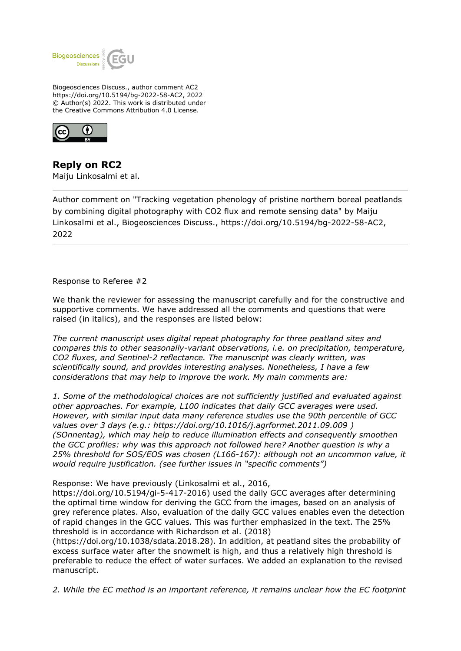

Biogeosciences Discuss., author comment AC2 https://doi.org/10.5194/bg-2022-58-AC2, 2022 © Author(s) 2022. This work is distributed under the Creative Commons Attribution 4.0 License.



**Reply on RC2** Maiju Linkosalmi et al.

Author comment on "Tracking vegetation phenology of pristine northern boreal peatlands by combining digital photography with CO2 flux and remote sensing data" by Maiju Linkosalmi et al., Biogeosciences Discuss., https://doi.org/10.5194/bg-2022-58-AC2, 2022

Response to Referee #2

We thank the reviewer for assessing the manuscript carefully and for the constructive and supportive comments. We have addressed all the comments and questions that were raised (in italics), and the responses are listed below:

*The current manuscript uses digital repeat photography for three peatland sites and compares this to other seasonally-variant observations, i.e. on precipitation, temperature, CO2 fluxes, and Sentinel-2 reflectance. The manuscript was clearly written, was scientifically sound, and provides interesting analyses. Nonetheless, I have a few considerations that may help to improve the work. My main comments are:*

*1. Some of the methodological choices are not sufficiently justified and evaluated against other approaches. For example, L100 indicates that daily GCC averages were used. However, with similar input data many reference studies use the 90th percentile of GCC values over 3 days (e.g.: https://doi.org/10.1016/j.agrformet.2011.09.009 ) (SOnnentag), which may help to reduce illumination effects and consequently smoothen the GCC profiles: why was this approach not followed here? Another question is why a 25% threshold for SOS/EOS was chosen (L166-167): although not an uncommon value, it would require justification. (see further issues in "specific comments")*

Response: We have previously (Linkosalmi et al., 2016,

https://doi.org/10.5194/gi-5-417-2016) used the daily GCC averages after determining the optimal time window for deriving the GCC from the images, based on an analysis of grey reference plates. Also, evaluation of the daily GCC values enables even the detection of rapid changes in the GCC values. This was further emphasized in the text. The 25% threshold is in accordance with Richardson et al. (2018)

(https://doi.org/10.1038/sdata.2018.28). In addition, at peatland sites the probability of excess surface water after the snowmelt is high, and thus a relatively high threshold is preferable to reduce the effect of water surfaces. We added an explanation to the revised manuscript.

*2. While the EC method is an important reference, it remains unclear how the EC footprint*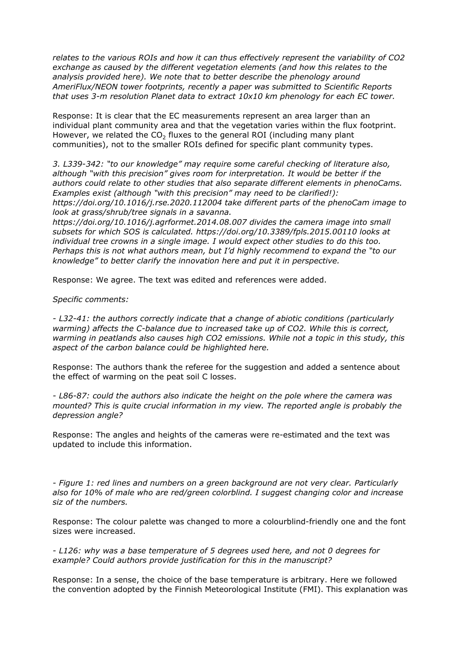*relates to the various ROIs and how it can thus effectively represent the variability of CO2 exchange as caused by the different vegetation elements (and how this relates to the analysis provided here). We note that to better describe the phenology around AmeriFlux/NEON tower footprints, recently a paper was submitted to Scientific Reports that uses 3-m resolution Planet data to extract 10x10 km phenology for each EC tower.*

Response: It is clear that the EC measurements represent an area larger than an individual plant community area and that the vegetation varies within the flux footprint. However, we related the  $CO<sub>2</sub>$  fluxes to the general ROI (including many plant communities), not to the smaller ROIs defined for specific plant community types.

*3. L339-342: "to our knowledge" may require some careful checking of literature also, although "with this precision" gives room for interpretation. It would be better if the authors could relate to other studies that also separate different elements in phenoCams. Examples exist (although "with this precision" may need to be clarified!): https://doi.org/10.1016/j.rse.2020.112004 take different parts of the phenoCam image to look at grass/shrub/tree signals in a savanna.*

*https://doi.org/10.1016/j.agrformet.2014.08.007 divides the camera image into small subsets for which SOS is calculated. https://doi.org/10.3389/fpls.2015.00110 looks at individual tree crowns in a single image. I would expect other studies to do this too. Perhaps this is not what authors mean, but I'd highly recommend to expand the "to our knowledge" to better clarify the innovation here and put it in perspective.*

Response: We agree. The text was edited and references were added.

## *Specific comments:*

*- L32-41: the authors correctly indicate that a change of abiotic conditions (particularly warming) affects the C-balance due to increased take up of CO2. While this is correct, warming in peatlands also causes high CO2 emissions. While not a topic in this study, this aspect of the carbon balance could be highlighted here.*

Response: The authors thank the referee for the suggestion and added a sentence about the effect of warming on the peat soil C losses.

*- L86-87: could the authors also indicate the height on the pole where the camera was mounted? This is quite crucial information in my view. The reported angle is probably the depression angle?*

Response: The angles and heights of the cameras were re-estimated and the text was updated to include this information.

*- Figure 1: red lines and numbers on a green background are not very clear. Particularly also for 10% of male who are red/green colorblind. I suggest changing color and increase siz of the numbers.* 

Response: The colour palette was changed to more a colourblind-friendly one and the font sizes were increased.

*- L126: why was a base temperature of 5 degrees used here, and not 0 degrees for example? Could authors provide justification for this in the manuscript?*

Response: In a sense, the choice of the base temperature is arbitrary. Here we followed the convention adopted by the Finnish Meteorological Institute (FMI). This explanation was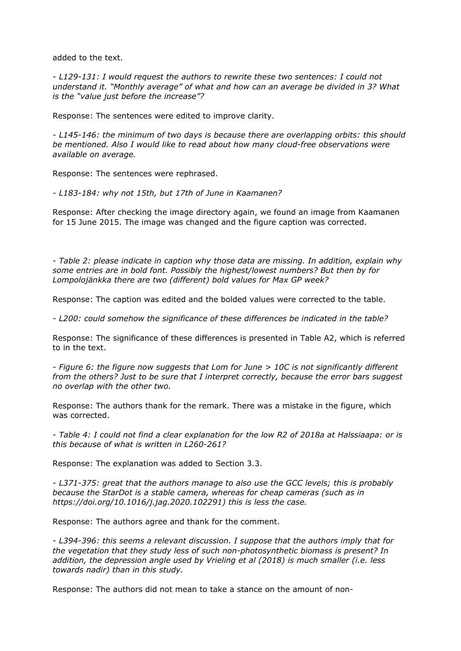added to the text.

*- L129-131: I would request the authors to rewrite these two sentences: I could not understand it. "Monthly average" of what and how can an average be divided in 3? What is the "value just before the increase"?*

Response: The sentences were edited to improve clarity.

*- L145-146: the minimum of two days is because there are overlapping orbits: this should be mentioned. Also I would like to read about how many cloud-free observations were available on average.*

Response: The sentences were rephrased.

*- L183-184: why not 15th, but 17th of June in Kaamanen?*

Response: After checking the image directory again, we found an image from Kaamanen for 15 June 2015. The image was changed and the figure caption was corrected.

*- Table 2: please indicate in caption why those data are missing. In addition, explain why some entries are in bold font. Possibly the highest/lowest numbers? But then by for Lompolojänkka there are two (different) bold values for Max GP week?*

Response: The caption was edited and the bolded values were corrected to the table.

*- L200: could somehow the significance of these differences be indicated in the table?*

Response: The significance of these differences is presented in Table A2, which is referred to in the text.

*- Figure 6: the figure now suggests that Lom for June > 10C is not significantly different from the others? Just to be sure that I interpret correctly, because the error bars suggest no overlap with the other two.*

Response: The authors thank for the remark. There was a mistake in the figure, which was corrected.

*- Table 4: I could not find a clear explanation for the low R2 of 2018a at Halssiaapa: or is this because of what is written in L260-261?*

Response: The explanation was added to Section 3.3.

*- L371-375: great that the authors manage to also use the GCC levels; this is probably because the StarDot is a stable camera, whereas for cheap cameras (such as in https://doi.org/10.1016/j.jag.2020.102291) this is less the case.* 

Response: The authors agree and thank for the comment.

*- L394-396: this seems a relevant discussion. I suppose that the authors imply that for the vegetation that they study less of such non-photosynthetic biomass is present? In addition, the depression angle used by Vrieling et al (2018) is much smaller (i.e. less towards nadir) than in this study.* 

Response: The authors did not mean to take a stance on the amount of non-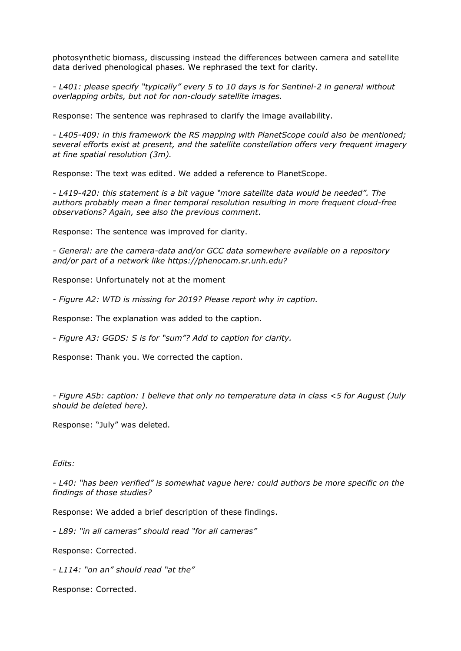photosynthetic biomass, discussing instead the differences between camera and satellite data derived phenological phases. We rephrased the text for clarity.

*- L401: please specify "typically" every 5 to 10 days is for Sentinel-2 in general without overlapping orbits, but not for non-cloudy satellite images.*

Response: The sentence was rephrased to clarify the image availability.

*- L405-409: in this framework the RS mapping with PlanetScope could also be mentioned; several efforts exist at present, and the satellite constellation offers very frequent imagery at fine spatial resolution (3m).*

Response: The text was edited. We added a reference to PlanetScope.

*- L419-420: this statement is a bit vague "more satellite data would be needed". The authors probably mean a finer temporal resolution resulting in more frequent cloud-free observations? Again, see also the previous comment*.

Response: The sentence was improved for clarity.

*- General: are the camera-data and/or GCC data somewhere available on a repository and/or part of a network like https://phenocam.sr.unh.edu?* 

Response: Unfortunately not at the moment

*- Figure A2: WTD is missing for 2019? Please report why in caption.*

Response: The explanation was added to the caption.

*- Figure A3: GGDS: S is for "sum"? Add to caption for clarity.*

Response: Thank you. We corrected the caption.

*- Figure A5b: caption: I believe that only no temperature data in class <5 for August (July should be deleted here).*

Response: "July" was deleted.

## *Edits:*

*- L40: "has been verified" is somewhat vague here: could authors be more specific on the findings of those studies?*

Response: We added a brief description of these findings.

*- L89: "in all cameras" should read "for all cameras"*

Response: Corrected.

*- L114: "on an" should read "at the"*

Response: Corrected.